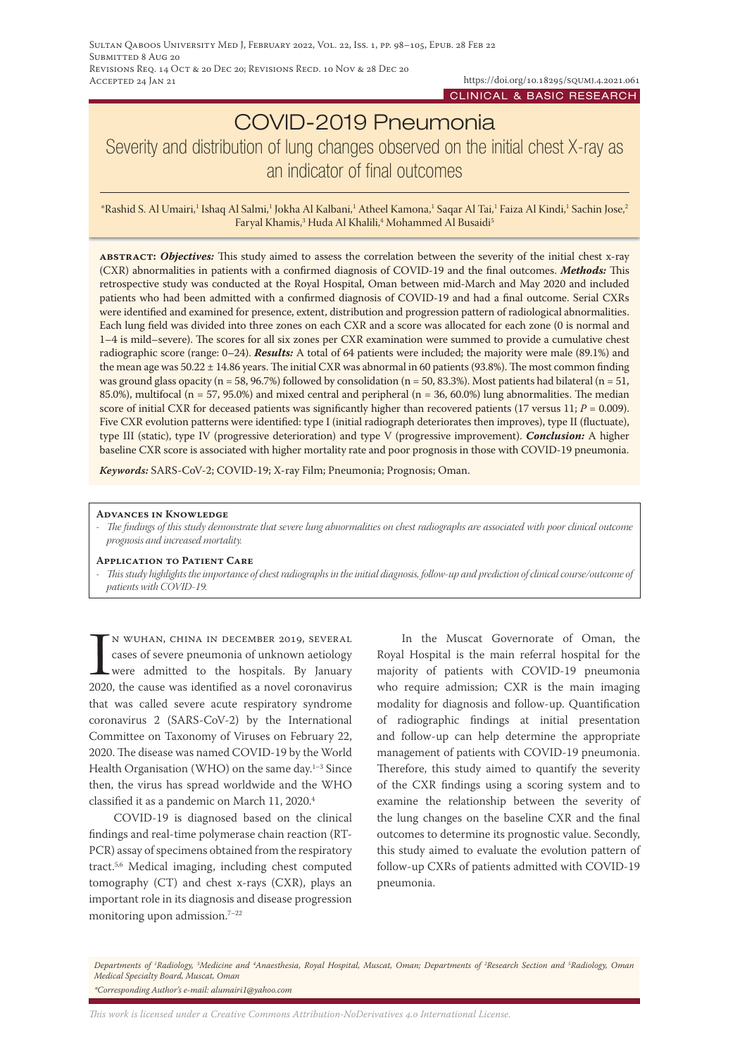# COVID-2019 Pneumonia Severity and distribution of lung changes observed on the initial chest X-ray as an indicator of final outcomes

\*Rashid S. Al Umairi,' Ishaq Al Salmi,' Jokha Al Kalbani,' Atheel Kamona,' Saqar Al Tai,' Faiza Al Kindi,' Sachin Jose,<sup>2</sup> Faryal Khamis,<sup>3</sup> Huda Al Khalili,<sup>4</sup> Mohammed Al Busaidi<sup>5</sup>

**abstract:** *Objectives:* This study aimed to assess the correlation between the severity of the initial chest x-ray (CXR) abnormalities in patients with a confirmed diagnosis of COVID-19 and the final outcomes. *Methods:* This retrospective study was conducted at the Royal Hospital, Oman between mid-March and May 2020 and included patients who had been admitted with a confirmed diagnosis of COVID-19 and had a final outcome. Serial CXRs were identified and examined for presence, extent, distribution and progression pattern of radiological abnormalities. Each lung field was divided into three zones on each CXR and a score was allocated for each zone (0 is normal and 1–4 is mild–severe). The scores for all six zones per CXR examination were summed to provide a cumulative chest radiographic score (range: 0–24). *Results:* A total of 64 patients were included; the majority were male (89.1%) and the mean age was  $50.22 \pm 14.86$  years. The initial CXR was abnormal in 60 patients (93.8%). The most common finding was ground glass opacity (n = 58, 96.7%) followed by consolidation (n = 50, 83.3%). Most patients had bilateral (n = 51, 85.0%), multifocal (n = 57, 95.0%) and mixed central and peripheral (n = 36, 60.0%) lung abnormalities. The median score of initial CXR for deceased patients was significantly higher than recovered patients (17 versus 11;  $P = 0.009$ ). Five CXR evolution patterns were identified: type I (initial radiograph deteriorates then improves), type II (fluctuate), type III (static), type IV (progressive deterioration) and type V (progressive improvement). *Conclusion:* A higher baseline CXR score is associated with higher mortality rate and poor prognosis in those with COVID-19 pneumonia.

*Keywords:* SARS-CoV-2; COVID-19; X-ray Film; Pneumonia; Prognosis; Oman.

#### **Advances in Knowledge**

*- The findings of this study demonstrate that severe lung abnormalities on chest radiographs are associated with poor clinical outcome prognosis and increased mortality.*

#### **Application to Patient Care**

*- This study highlights the importance of chest radiographs in the initial diagnosis, follow-up and prediction of clinical course/outcome of patients with COVID-19.*

IN WUHAN, CHINA IN DECEMBER 2019, SEVERAL<br>cases of severe pneumonia of unknown aetiology<br>were admitted to the hospitals. By January<br>2020, the cause was identified as a novel coronavirus n wuhan, china in december 2019, several cases of severe pneumonia of unknown aetiology were admitted to the hospitals. By January that was called severe acute respiratory syndrome coronavirus 2 (SARS-CoV-2) by the International Committee on Taxonomy of Viruses on February 22, 2020. The disease was named COVID-19 by the World Health Organisation (WHO) on the same day.<sup>1-3</sup> Since then, the virus has spread worldwide and the WHO classified it as a pandemic on March 11, 2020.4

COVID-19 is diagnosed based on the clinical findings and real-time polymerase chain reaction (RT-PCR) assay of specimens obtained from the respiratory tract.5,6 Medical imaging, including chest computed tomography (CT) and chest x-rays (CXR), plays an important role in its diagnosis and disease progression monitoring upon admission. $7-22$ 

In the Muscat Governorate of Oman, the Royal Hospital is the main referral hospital for the majority of patients with COVID-19 pneumonia who require admission; CXR is the main imaging modality for diagnosis and follow-up. Quantification of radiographic findings at initial presentation and follow-up can help determine the appropriate management of patients with COVID-19 pneumonia. Therefore, this study aimed to quantify the severity of the CXR findings using a scoring system and to examine the relationship between the severity of the lung changes on the baseline CXR and the final outcomes to determine its prognostic value. Secondly, this study aimed to evaluate the evolution pattern of follow-up CXRs of patients admitted with COVID-19 pneumonia.

*Departments of 1 Radiology, 3 Medicine and 4 Anaesthesia, Royal Hospital, Muscat, Oman; Departments of 2 Research Section and 5 Radiology, Oman Medical Specialty Board, Muscat, Oman \*Corresponding Author's e-mail: alumairi1@yahoo.com*

*This work is licensed under a [Creative Commons Attribution-NoDerivatives 4.0 International License.](https://creativecommons.org/licenses/by-nd/4.0/)*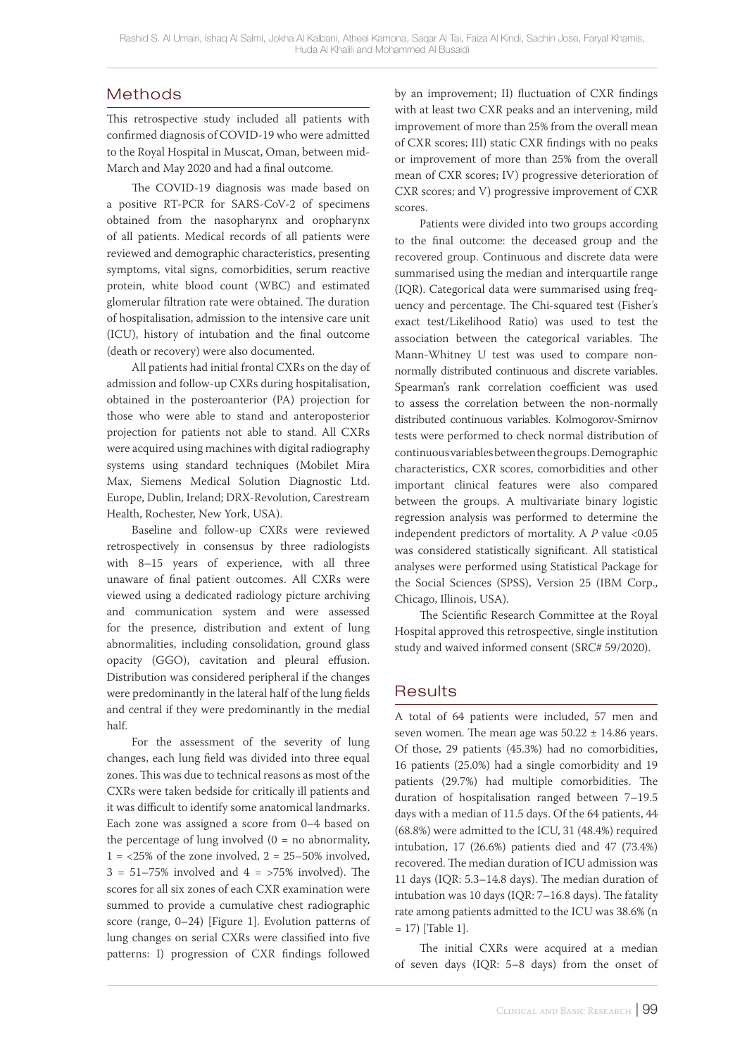# Methods

This retrospective study included all patients with confirmed diagnosis of COVID-19 who were admitted to the Royal Hospital in Muscat, Oman, between mid-March and May 2020 and had a final outcome.

The COVID-19 diagnosis was made based on a positive RT-PCR for SARS-CoV-2 of specimens obtained from the nasopharynx and oropharynx of all patients. Medical records of all patients were reviewed and demographic characteristics, presenting symptoms, vital signs, comorbidities, serum reactive protein, white blood count (WBC) and estimated glomerular filtration rate were obtained. The duration of hospitalisation, admission to the intensive care unit (ICU), history of intubation and the final outcome (death or recovery) were also documented.

All patients had initial frontal CXRs on the day of admission and follow-up CXRs during hospitalisation, obtained in the posteroanterior (PA) projection for those who were able to stand and anteroposterior projection for patients not able to stand. All CXRs were acquired using machines with digital radiography systems using standard techniques (Mobilet Mira Max, Siemens Medical Solution Diagnostic Ltd. Europe, Dublin, Ireland; DRX-Revolution, Carestream Health, Rochester, New York, USA).

Baseline and follow-up CXRs were reviewed retrospectively in consensus by three radiologists with 8–15 years of experience, with all three unaware of final patient outcomes. All CXRs were viewed using a dedicated radiology picture archiving and communication system and were assessed for the presence, distribution and extent of lung abnormalities, including consolidation, ground glass opacity (GGO), cavitation and pleural effusion. Distribution was considered peripheral if the changes were predominantly in the lateral half of the lung fields and central if they were predominantly in the medial half.

For the assessment of the severity of lung changes, each lung field was divided into three equal zones. This was due to technical reasons as most of the CXRs were taken bedside for critically ill patients and it was difficult to identify some anatomical landmarks. Each zone was assigned a score from 0–4 based on the percentage of lung involved  $(0 = no$  abnormality,  $1 = 25\%$  of the zone involved,  $2 = 25-50\%$  involved,  $3 = 51 - 75\%$  involved and  $4 = 575\%$  involved). The scores for all six zones of each CXR examination were summed to provide a cumulative chest radiographic score (range, 0–24) [Figure 1]. Evolution patterns of lung changes on serial CXRs were classified into five patterns: I) progression of CXR findings followed by an improvement; II) fluctuation of CXR findings with at least two CXR peaks and an intervening, mild improvement of more than 25% from the overall mean of CXR scores; III) static CXR findings with no peaks or improvement of more than 25% from the overall mean of CXR scores; IV) progressive deterioration of CXR scores; and V) progressive improvement of CXR scores.

Patients were divided into two groups according to the final outcome: the deceased group and the recovered group. Continuous and discrete data were summarised using the median and interquartile range (IQR). Categorical data were summarised using frequency and percentage. The Chi-squared test (Fisher's exact test/Likelihood Ratio) was used to test the association between the categorical variables. The Mann-Whitney U test was used to compare nonnormally distributed continuous and discrete variables. Spearman's rank correlation coefficient was used to assess the correlation between the non-normally distributed continuous variables. Kolmogorov-Smirnov tests were performed to check normal distribution of continuous variables between the groups. Demographic characteristics, CXR scores, comorbidities and other important clinical features were also compared between the groups. A multivariate binary logistic regression analysis was performed to determine the independent predictors of mortality. A *P* value <0.05 was considered statistically significant. All statistical analyses were performed using Statistical Package for the Social Sciences (SPSS), Version 25 (IBM Corp., Chicago, Illinois, USA).

The Scientific Research Committee at the Royal Hospital approved this retrospective, single institution study and waived informed consent (SRC# 59/2020).

## **Results**

A total of 64 patients were included, 57 men and seven women. The mean age was  $50.22 \pm 14.86$  years. Of those, 29 patients (45.3%) had no comorbidities, 16 patients (25.0%) had a single comorbidity and 19 patients (29.7%) had multiple comorbidities. The duration of hospitalisation ranged between 7–19.5 days with a median of 11.5 days. Of the 64 patients, 44 (68.8%) were admitted to the ICU, 31 (48.4%) required intubation, 17 (26.6%) patients died and 47 (73.4%) recovered. The median duration of ICU admission was 11 days (IQR: 5.3–14.8 days). The median duration of intubation was 10 days (IQR: 7–16.8 days). The fatality rate among patients admitted to the ICU was 38.6% (n  $= 17$ ) [Table 1].

The initial CXRs were acquired at a median of seven days (IQR: 5–8 days) from the onset of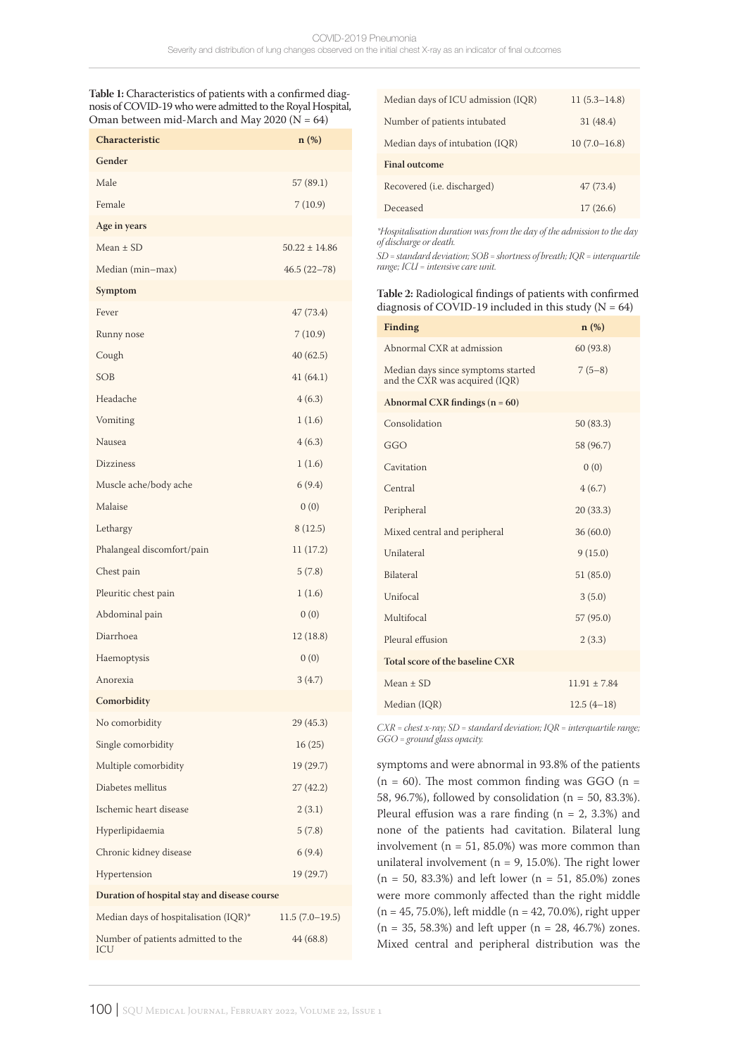**Table 1:** Characteristics of patients with a confirmed diagnosis of COVID-19 who were admitted to the Royal Hospital, Oman between mid-March and May 2020 ( $N = 64$ )

| Characteristic                               | $n$ (%)           |  |  |  |
|----------------------------------------------|-------------------|--|--|--|
| Gender                                       |                   |  |  |  |
| Male                                         | 57 (89.1)         |  |  |  |
| Female                                       | 7(10.9)           |  |  |  |
| Age in years                                 |                   |  |  |  |
| $Mean \pm SD$                                | $50.22 \pm 14.86$ |  |  |  |
| Median (min-max)                             | $46.5(22 - 78)$   |  |  |  |
| Symptom                                      |                   |  |  |  |
| Fever                                        | 47 (73.4)         |  |  |  |
| Runny nose                                   | 7(10.9)           |  |  |  |
| Cough                                        | 40(62.5)          |  |  |  |
| <b>SOB</b>                                   | 41(64.1)          |  |  |  |
| Headache                                     | 4(6.3)            |  |  |  |
| Vomiting                                     | 1(1.6)            |  |  |  |
| Nausea                                       | 4(6.3)            |  |  |  |
| Dizziness                                    | 1(1.6)            |  |  |  |
| Muscle ache/body ache                        | 6(9.4)            |  |  |  |
| Malaise                                      | 0(0)              |  |  |  |
| Lethargy                                     | 8(12.5)           |  |  |  |
| Phalangeal discomfort/pain                   | 11 (17.2)         |  |  |  |
| Chest pain                                   | 5(7.8)            |  |  |  |
| Pleuritic chest pain                         | 1(1.6)            |  |  |  |
| Abdominal pain                               | 0(0)              |  |  |  |
| Diarrhoea                                    | 12(18.8)          |  |  |  |
| Haemoptysis                                  | 0(0)              |  |  |  |
| Anorexia                                     | 3(4.7)            |  |  |  |
| Comorbidity                                  |                   |  |  |  |
| No comorbidity                               | 29 (45.3)         |  |  |  |
| Single comorbidity                           | 16(25)            |  |  |  |
| Multiple comorbidity                         | 19 (29.7)         |  |  |  |
| Diabetes mellitus                            | 27(42.2)          |  |  |  |
| Ischemic heart disease                       | 2(3.1)            |  |  |  |
| Hyperlipidaemia                              | 5(7.8)            |  |  |  |
| Chronic kidney disease                       | 6(9.4)            |  |  |  |
| Hypertension                                 | 19 (29.7)         |  |  |  |
| Duration of hospital stay and disease course |                   |  |  |  |
| Median days of hospitalisation (IQR)*        | $11.5(7.0-19.5)$  |  |  |  |
| Number of patients admitted to the<br>ICU    | 44 (68.8)         |  |  |  |

| Median days of ICU admission (IQR)  | $11(5.3 - 14.8)$ |
|-------------------------------------|------------------|
| Number of patients intubated        | 31(48.4)         |
| Median days of intubation (IQR)     | $10(7.0 - 16.8)$ |
| <b>Final outcome</b>                |                  |
| Recovered ( <i>i.e.</i> discharged) | 47(73.4)         |
| Deceased                            | 17(26.6)         |

*\*Hospitalisation duration was from the day of the admission to the day of discharge or death.*

*SD = standard deviation; SOB = shortness of breath; IQR = interquartile range; ICU = intensive care unit.*

#### **Table 2:** Radiological findings of patients with confirmed diagnosis of COVID-19 included in this study ( $N = 64$ )

| <b>Finding</b>                                                       | $n$ (%)          |
|----------------------------------------------------------------------|------------------|
| Abnormal CXR at admission                                            | 60 (93.8)        |
| Median days since symptoms started<br>and the CXR was acquired (IQR) | $7(5-8)$         |
| Abnormal CXR findings $(n = 60)$                                     |                  |
| Consolidation                                                        | 50(83.3)         |
| GGO                                                                  | 58 (96.7)        |
| Cavitation                                                           | 0(0)             |
| Central                                                              | 4(6.7)           |
| Peripheral                                                           | 20(33.3)         |
| Mixed central and peripheral                                         | 36(60.0)         |
| Unilateral                                                           | 9(15.0)          |
| Bilateral                                                            | 51(85.0)         |
| Unifocal                                                             | 3(5.0)           |
| Multifocal                                                           | 57 (95.0)        |
| Pleural effusion                                                     | 2(3.3)           |
| Total score of the baseline CXR                                      |                  |
| $Mean \pm SD$                                                        | $11.91 \pm 7.84$ |
| Median (IQR)                                                         | $12.5(4-18)$     |

*CXR = chest x-ray; SD = standard deviation; IQR = interquartile range; GGO = ground glass opacity.*

symptoms and were abnormal in 93.8% of the patients  $(n = 60)$ . The most common finding was GGO  $(n = 60)$ 58, 96.7%), followed by consolidation (n = 50, 83.3%). Pleural effusion was a rare finding ( $n = 2$ , 3.3%) and none of the patients had cavitation. Bilateral lung involvement ( $n = 51, 85.0\%$ ) was more common than unilateral involvement ( $n = 9$ , 15.0%). The right lower  $(n = 50, 83.3%)$  and left lower  $(n = 51, 85.0%)$  zones were more commonly affected than the right middle (n = 45, 75.0%), left middle (n = 42, 70.0%), right upper  $(n = 35, 58.3\%)$  and left upper  $(n = 28, 46.7\%)$  zones. Mixed central and peripheral distribution was the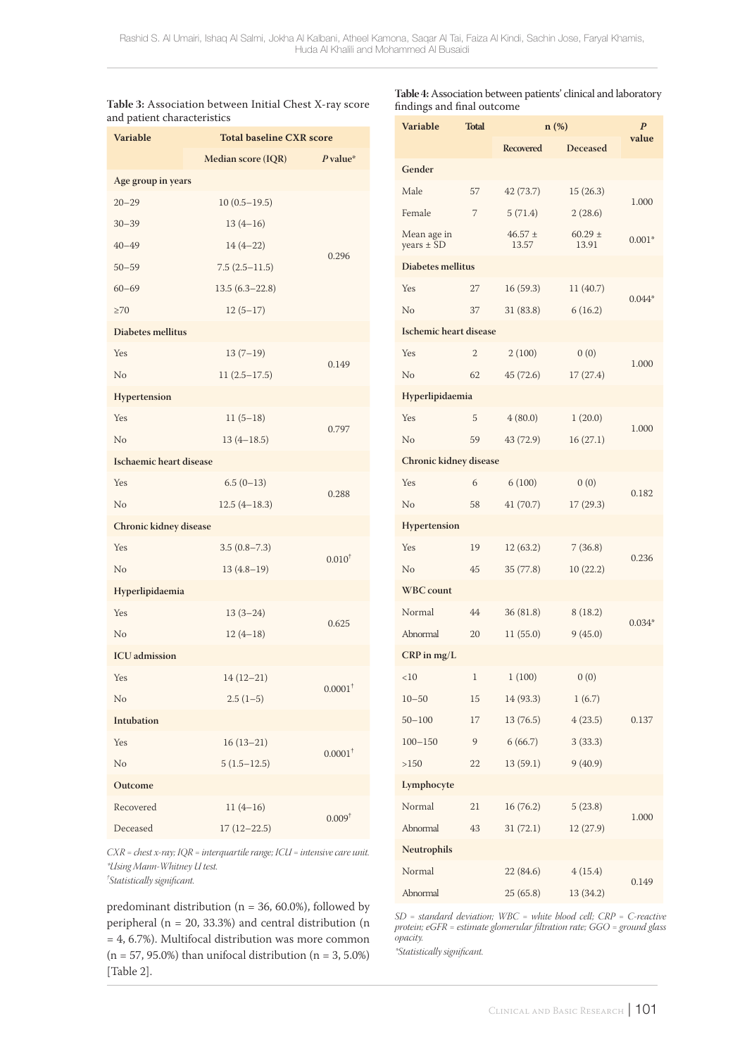| Table 3: Association between Initial Chest X-ray score |  |  |  |
|--------------------------------------------------------|--|--|--|
| and patient characteristics                            |  |  |  |

**Table 4:** Association between patients' clinical and laboratory findings and final outcome

| <b>Variable</b>               | inu patient characteristics<br><b>Total baseline CXR score</b> |                       |  |  |
|-------------------------------|----------------------------------------------------------------|-----------------------|--|--|
|                               | Median score (IQR)                                             | $P$ value*            |  |  |
| Age group in years            |                                                                |                       |  |  |
| $20 - 29$                     | $10(0.5-19.5)$                                                 |                       |  |  |
| $30 - 39$                     | $13(4-16)$                                                     |                       |  |  |
| $40 - 49$                     | $14(4-22)$                                                     |                       |  |  |
| $50 - 59$                     | $7.5(2.5-11.5)$                                                | 0.296                 |  |  |
| $60 - 69$                     | $13.5(6.3 - 22.8)$                                             |                       |  |  |
| $\geq 70$                     | $12(5-17)$                                                     |                       |  |  |
| Diabetes mellitus             |                                                                |                       |  |  |
| Yes                           | $13(7-19)$                                                     |                       |  |  |
| No                            | $11(2.5-17.5)$                                                 | 0.149                 |  |  |
| Hypertension                  |                                                                |                       |  |  |
| Yes                           | $11(5-18)$                                                     |                       |  |  |
| No                            | $13(4 - 18.5)$                                                 | 0.797                 |  |  |
| Ischaemic heart disease       |                                                                |                       |  |  |
| Yes                           | $6.5(0-13)$                                                    | 0.288                 |  |  |
| No                            | $12.5(4-18.3)$                                                 |                       |  |  |
| <b>Chronic kidney disease</b> |                                                                |                       |  |  |
| Yes                           | $3.5(0.8 - 7.3)$                                               | $0.010^{+}$           |  |  |
| No                            | $13(4.8-19)$                                                   |                       |  |  |
| Hyperlipidaemia               |                                                                |                       |  |  |
| Yes                           | $13(3-24)$                                                     | 0.625                 |  |  |
| No                            | $12(4-18)$                                                     |                       |  |  |
| <b>ICU</b> admission          |                                                                |                       |  |  |
| Yes                           | $14(12 - 21)$                                                  | $0.0001$ <sup>+</sup> |  |  |
| No                            | $2.5(1-5)$                                                     |                       |  |  |
| Intubation                    |                                                                |                       |  |  |
| Yes                           | $16(13-21)$                                                    | $0.0001$ <sup>+</sup> |  |  |
| No                            | $5(1.5-12.5)$                                                  |                       |  |  |
| Outcome                       |                                                                |                       |  |  |
| Recovered                     | $11(4-16)$                                                     | 0.009 <sup>†</sup>    |  |  |
| Deceased                      | $17(12 - 22.5)$                                                |                       |  |  |

*CXR = chest x-ray; IQR = interquartile range; ICU = intensive care unit. \*Using Mann-Whitney U test. † Statistically significant.*

predominant distribution ( $n = 36, 60.0\%$ ), followed by peripheral ( $n = 20$ , 33.3%) and central distribution ( $n$ = 4, 6.7%). Multifocal distribution was more common ( $n = 57, 95.0\%$ ) than unifocal distribution ( $n = 3, 5.0\%$ ) [Table 2].

| <b>Variable</b>               | <b>Total</b> | $n$ (%)              |                      | $\boldsymbol{P}$ |
|-------------------------------|--------------|----------------------|----------------------|------------------|
|                               |              | <b>Recovered</b>     | Deceased             | value            |
| Gender                        |              |                      |                      |                  |
| Male                          | 57           | 42 (73.7)            | 15(26.3)             |                  |
| Female                        | 7            | 5(71.4)              | 2(28.6)              | 1.000            |
| Mean age in<br>years $\pm$ SD |              | $46.57 \pm$<br>13.57 | $60.29 \pm$<br>13.91 | $0.001*$         |
| Diabetes mellitus             |              |                      |                      |                  |
| Yes                           | 27           | 16(59.3)             | 11(40.7)             | $0.044*$         |
| No                            | 37           | 31(83.8)             | 6(16.2)              |                  |
| <b>Ischemic heart disease</b> |              |                      |                      |                  |
| Yes                           | 2            | 2(100)               | 0(0)                 |                  |
| No                            | 62           | 45(72.6)             | 17(27.4)             | 1.000            |
| Hyperlipidaemia               |              |                      |                      |                  |
| Yes                           | 5            | 4(80.0)              | 1(20.0)              |                  |
| No                            | 59           | 43 (72.9)            | 16(27.1)             | 1.000            |
| Chronic kidney disease        |              |                      |                      |                  |
| Yes                           | 6            | 6(100)               | 0(0)                 |                  |
| No                            | 58           | 41(70.7)             | 17(29.3)             | 0.182            |
| <b>Hypertension</b>           |              |                      |                      |                  |
| Yes                           | 19           | 12(63.2)             | 7(36.8)              |                  |
| No                            | 45           | 35(77.8)             | 10(22.2)             | 0.236            |
| <b>WBC</b> count              |              |                      |                      |                  |
| Normal                        | 44           | 36(81.8)             | 8(18.2)              |                  |
| Abnormal                      | 20           | 11(55.0)             | 9(45.0)              | $0.034*$         |
| $CRP$ in mg/L                 |              |                      |                      |                  |
| <10                           | 1            | 1(100)               | 0(0)                 |                  |
| $10 - 50$                     | 15           | 14(93.3)             | 1(6.7)               |                  |
| $50 - 100$                    | 17           | 13(76.5)             | 4(23.5)              | 0.137            |
| $100 - 150$                   | 9            | 6(66.7)              | 3(33.3)              |                  |
| >150                          | 22           | 13(59.1)             | 9(40.9)              |                  |
| Lymphocyte                    |              |                      |                      |                  |
| Normal                        | 21           | 16(76.2)             | 5(23.8)              |                  |
| Abnormal                      | 43           | 31(72.1)             | 12 (27.9)            | 1.000            |
| Neutrophils                   |              |                      |                      |                  |
| Normal                        |              | 22(84.6)             | 4(15.4)              |                  |
| Abnormal                      |              | 25(65.8)             | 13 (34.2)            | 0.149            |
|                               |              |                      |                      |                  |

*SD = standard deviation; WBC = white blood cell; CRP = C-reactive protein; eGFR = estimate glomerular filtration rate; GGO = ground glass opacity.*

*\*Statistically significant.*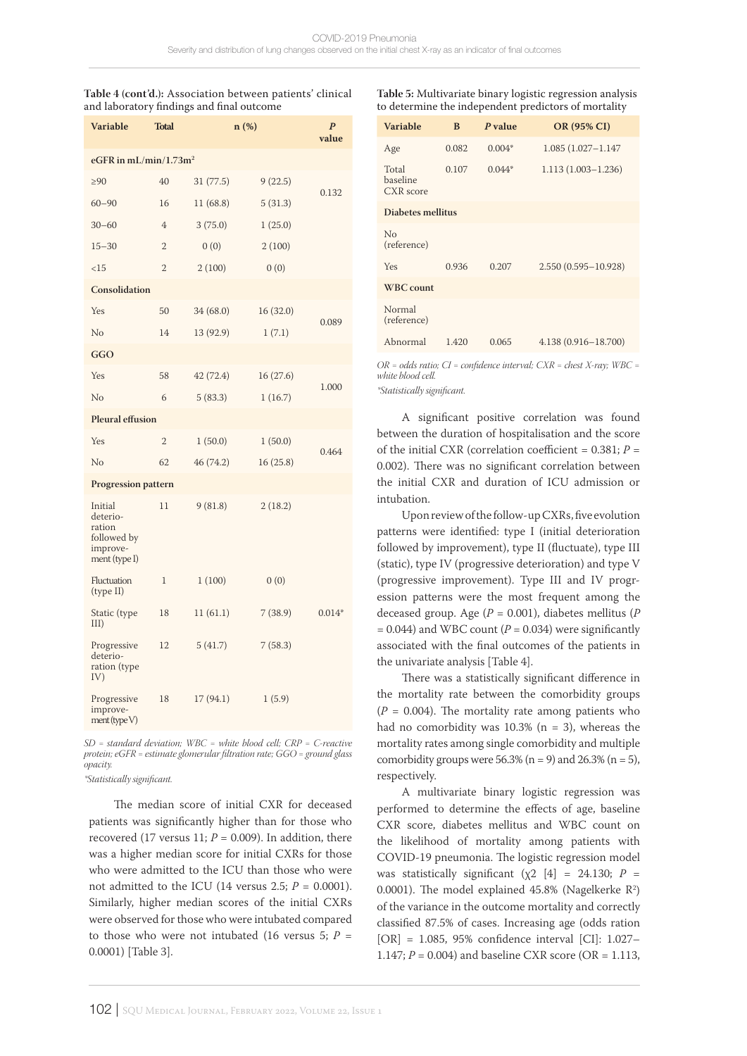#### **Table 4 (cont'd.):** Association between patients' clinical and laboratory findings and final outcome

| <b>Variable</b>                                                           | <b>Total</b>   | n(%)      |           | $\boldsymbol{P}$<br>value |  |
|---------------------------------------------------------------------------|----------------|-----------|-----------|---------------------------|--|
| eGFR in mL/min/1.73m <sup>2</sup>                                         |                |           |           |                           |  |
| $\geq 90$                                                                 | 40             | 31(77.5)  | 9(22.5)   |                           |  |
| $60 - 90$                                                                 | 16             | 11 (68.8) | 5(31.3)   | 0.132                     |  |
| $30 - 60$                                                                 | $\overline{4}$ | 3(75.0)   | 1(25.0)   |                           |  |
| $15 - 30$                                                                 | $\overline{2}$ | 0(0)      | 2(100)    |                           |  |
| <15                                                                       | $\overline{2}$ | 2(100)    | 0(0)      |                           |  |
| Consolidation                                                             |                |           |           |                           |  |
| Yes                                                                       | 50             | 34 (68.0) | 16 (32.0) |                           |  |
| No                                                                        | 14             | 13 (92.9) | 1(7.1)    | 0.089                     |  |
| GGO                                                                       |                |           |           |                           |  |
| Yes                                                                       | 58             | 42 (72.4) | 16(27.6)  |                           |  |
| No                                                                        | 6              | 5(83.3)   | 1(16.7)   | 1.000                     |  |
| <b>Pleural effusion</b>                                                   |                |           |           |                           |  |
| Yes                                                                       | $\overline{2}$ | 1(50.0)   | 1(50.0)   |                           |  |
| No                                                                        | 62             | 46 (74.2) | 16(25.8)  | 0.464                     |  |
| <b>Progression pattern</b>                                                |                |           |           |                           |  |
| Initial<br>deterio-<br>ration<br>followed by<br>improve-<br>ment (type I) | 11             | 9(81.8)   | 2(18.2)   |                           |  |
| Fluctuation<br>(type II)                                                  | $\mathbf 1$    | 1(100)    | 0(0)      |                           |  |
| Static (type<br>III)                                                      | 18             | 11(61.1)  | 7(38.9)   | $0.014*$                  |  |
| Progressive<br>deterio-<br>ration (type<br>IV)                            | 12             | 5(41.7)   | 7(58.3)   |                           |  |
| Progressive<br>improve-<br>$ment$ (type $V$ )                             | 18             | 17(94.1)  | 1(5.9)    |                           |  |

*SD = standard deviation; WBC = white blood cell; CRP = C-reactive protein; eGFR = estimate glomerular filtration rate; GGO = ground glass opacity.*

*\*Statistically significant.*

The median score of initial CXR for deceased patients was significantly higher than for those who recovered (17 versus 11;  $P = 0.009$ ). In addition, there was a higher median score for initial CXRs for those who were admitted to the ICU than those who were not admitted to the ICU (14 versus 2.5;  $P = 0.0001$ ). Similarly, higher median scores of the initial CXRs were observed for those who were intubated compared to those who were not intubated (16 versus 5;  $P =$ 0.0001) [Table 3].

**Table 5:** Multivariate binary logistic regression analysis to determine the independent predictors of mortality

| <b>Variable</b>                       | B     | P value  | OR (95% CI)            |  |  |
|---------------------------------------|-------|----------|------------------------|--|--|
| Age                                   | 0.082 | $0.004*$ | $1.085(1.027 - 1.147)$ |  |  |
| Total<br>baseline<br><b>CXR</b> score | 0.107 | $0.044*$ | $1.113(1.003 - 1.236)$ |  |  |
| Diabetes mellitus                     |       |          |                        |  |  |
| $\rm No$<br>(reference)               |       |          |                        |  |  |
| Yes                                   | 0.936 | 0.207    | 2.550 (0.595-10.928)   |  |  |
| <b>WBC</b> count                      |       |          |                        |  |  |
| Normal<br>(reference)                 |       |          |                        |  |  |
| Abnormal                              | 1.420 | 0.065    | 4.138 (0.916-18.700)   |  |  |

*OR = odds ratio; CI = confidence interval; CXR = chest X-ray; WBC = white blood cell.*

*\*Statistically significant.*

A significant positive correlation was found between the duration of hospitalisation and the score of the initial CXR (correlation coefficient =  $0.381; P =$ 0.002). There was no significant correlation between the initial CXR and duration of ICU admission or intubation.

Upon review of the follow-up CXRs, five evolution patterns were identified: type I (initial deterioration followed by improvement), type II (fluctuate), type III (static), type IV (progressive deterioration) and type V (progressive improvement). Type III and IV progression patterns were the most frequent among the deceased group. Age (*P* = 0.001), diabetes mellitus (*P*  $= 0.044$ ) and WBC count ( $P = 0.034$ ) were significantly associated with the final outcomes of the patients in the univariate analysis [Table 4].

There was a statistically significant difference in the mortality rate between the comorbidity groups  $(P = 0.004)$ . The mortality rate among patients who had no comorbidity was  $10.3\%$  (n = 3), whereas the mortality rates among single comorbidity and multiple comorbidity groups were  $56.3\%$  (n = 9) and  $26.3\%$  (n = 5), respectively.

A multivariate binary logistic regression was performed to determine the effects of age, baseline CXR score, diabetes mellitus and WBC count on the likelihood of mortality among patients with COVID-19 pneumonia. The logistic regression model was statistically significant ( $\chi$ 2 [4] = 24.130; *P* = 0.0001). The model explained  $45.8\%$  (Nagelkerke  $\mathbb{R}^2$ ) of the variance in the outcome mortality and correctly classified 87.5% of cases. Increasing age (odds ration [OR] = 1.085, 95% confidence interval [CI]: 1.027– 1.147; *P* = 0.004) and baseline CXR score (OR = 1.113,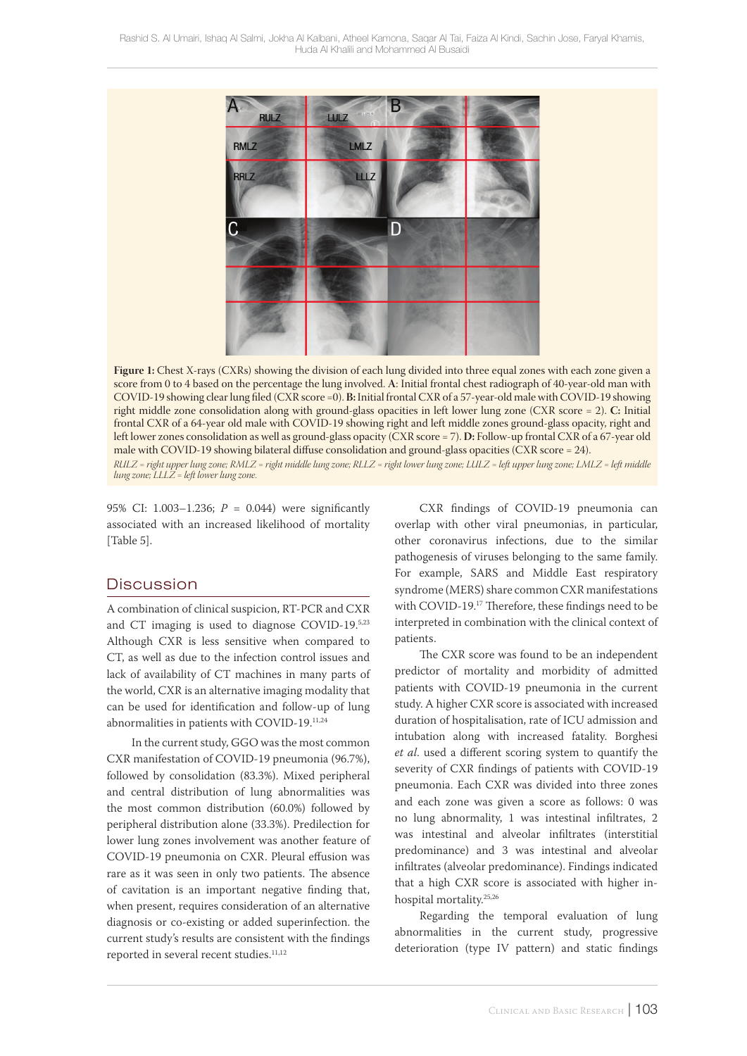

**Figure 1:** Chest X-rays (CXRs) showing the division of each lung divided into three equal zones with each zone given a score from 0 to 4 based on the percentage the lung involved. **A**: Initial frontal chest radiograph of 40-year-old man with COVID-19 showing clear lung filed (CXR score =0). **B:** Initial frontal CXR of a 57-year-old male with COVID-19 showing right middle zone consolidation along with ground-glass opacities in left lower lung zone (CXR score = 2). **C:** Initial frontal CXR of a 64-year old male with COVID-19 showing right and left middle zones ground-glass opacity, right and left lower zones consolidation as well as ground-glass opacity (CXR score = 7). **D:** Follow-up frontal CXR of a 67-year old male with COVID-19 showing bilateral diffuse consolidation and ground-glass opacities (CXR score = 24). *RULZ = right upper lung zone; RMLZ = right middle lung zone; RLLZ = right lower lung zone; LULZ = left upper lung zone; LMLZ = left middle lung zone; LLLZ = left lower lung zone.*

95% CI: 1.003–1.236; *P* = 0.044) were significantly associated with an increased likelihood of mortality [Table 5].

### **Discussion**

A combination of clinical suspicion, RT-PCR and CXR and CT imaging is used to diagnose COVID-19.5,23 Although CXR is less sensitive when compared to CT, as well as due to the infection control issues and lack of availability of CT machines in many parts of the world, CXR is an alternative imaging modality that can be used for identification and follow-up of lung abnormalities in patients with COVID-19.11,24

In the current study, GGO was the most common CXR manifestation of COVID-19 pneumonia (96.7%), followed by consolidation (83.3%). Mixed peripheral and central distribution of lung abnormalities was the most common distribution (60.0%) followed by peripheral distribution alone (33.3%). Predilection for lower lung zones involvement was another feature of COVID-19 pneumonia on CXR. Pleural effusion was rare as it was seen in only two patients. The absence of cavitation is an important negative finding that, when present, requires consideration of an alternative diagnosis or co-existing or added superinfection. the current study's results are consistent with the findings reported in several recent studies.<sup>11,12</sup>

CXR findings of COVID-19 pneumonia can overlap with other viral pneumonias, in particular, other coronavirus infections, due to the similar pathogenesis of viruses belonging to the same family. For example, SARS and Middle East respiratory syndrome (MERS) share common CXR manifestations with COVID-19.17 Therefore, these findings need to be interpreted in combination with the clinical context of patients.

The CXR score was found to be an independent predictor of mortality and morbidity of admitted patients with COVID-19 pneumonia in the current study. A higher CXR score is associated with increased duration of hospitalisation, rate of ICU admission and intubation along with increased fatality. Borghesi *et al*. used a different scoring system to quantify the severity of CXR findings of patients with COVID-19 pneumonia. Each CXR was divided into three zones and each zone was given a score as follows: 0 was no lung abnormality, 1 was intestinal infiltrates, 2 was intestinal and alveolar infiltrates (interstitial predominance) and 3 was intestinal and alveolar infiltrates (alveolar predominance). Findings indicated that a high CXR score is associated with higher inhospital mortality.25,26

Regarding the temporal evaluation of lung abnormalities in the current study, progressive deterioration (type IV pattern) and static findings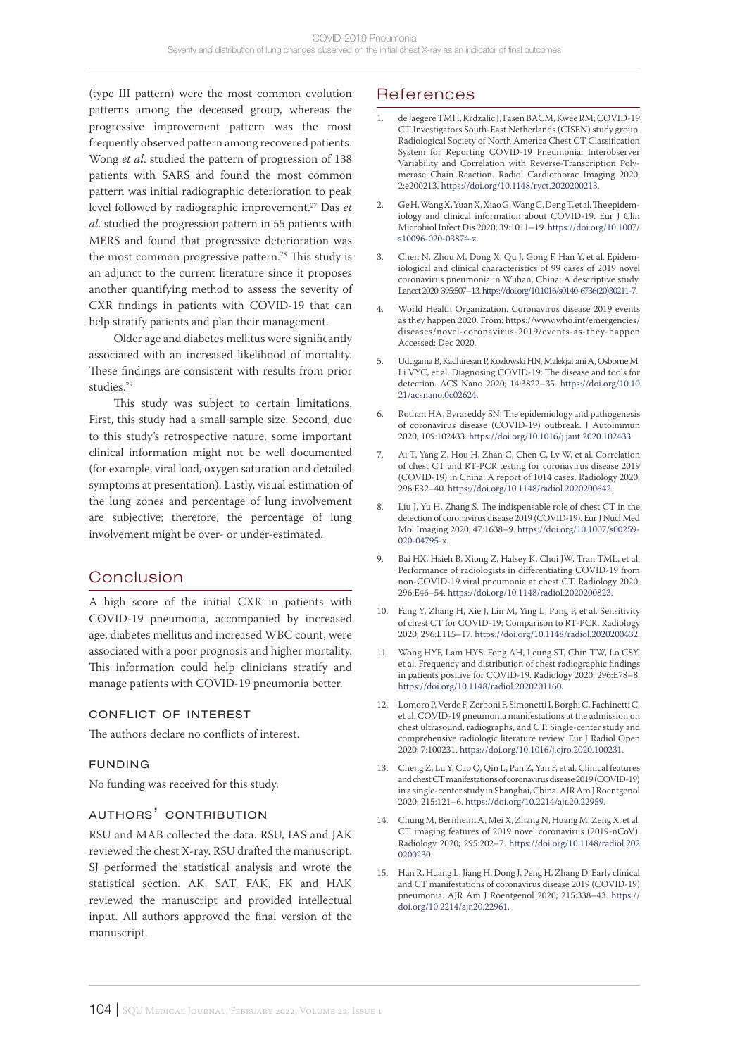(type III pattern) were the most common evolution patterns among the deceased group, whereas the progressive improvement pattern was the most frequently observed pattern among recovered patients. Wong *et al*. studied the pattern of progression of 138 patients with SARS and found the most common pattern was initial radiographic deterioration to peak level followed by radiographic improvement.27 Das *et al*. studied the progression pattern in 55 patients with MERS and found that progressive deterioration was the most common progressive pattern.<sup>28</sup> This study is an adjunct to the current literature since it proposes another quantifying method to assess the severity of CXR findings in patients with COVID-19 that can help stratify patients and plan their management.

Older age and diabetes mellitus were significantly associated with an increased likelihood of mortality. These findings are consistent with results from prior studies.29

This study was subject to certain limitations. First, this study had a small sample size. Second, due to this study's retrospective nature, some important clinical information might not be well documented (for example, viral load, oxygen saturation and detailed symptoms at presentation). Lastly, visual estimation of the lung zones and percentage of lung involvement are subjective; therefore, the percentage of lung involvement might be over- or under-estimated.

## Conclusion

A high score of the initial CXR in patients with COVID-19 pneumonia, accompanied by increased age, diabetes mellitus and increased WBC count, were associated with a poor prognosis and higher mortality. This information could help clinicians stratify and manage patients with COVID-19 pneumonia better.

#### conflict of interest

The authors declare no conflicts of interest.

#### funding

No funding was received for this study.

### authors' contribution

RSU and MAB collected the data. RSU, IAS and JAK reviewed the chest X-ray. RSU drafted the manuscript. SJ performed the statistical analysis and wrote the statistical section. AK, SAT, FAK, FK and HAK reviewed the manuscript and provided intellectual input. All authors approved the final version of the manuscript.

# **References**

- 1. de Jaegere TMH, Krdzalic J, Fasen BACM, Kwee RM; COVID-19 CT Investigators South-East Netherlands (CISEN) study group. Radiological Society of North America Chest CT Classification System for Reporting COVID-19 Pneumonia: Interobserver Variability and Correlation with Reverse-Transcription Polymerase Chain Reaction. Radiol Cardiothorac Imaging 2020; 2:e200213. <https://doi.org/10.1148/ryct.2020200213>.
- 2. Ge H, Wang X, Yuan X, Xiao G, Wang C, Deng T, et al. The epidemiology and clinical information about COVID-19. Eur I Clin Microbiol Infect Dis 2020; 39:1011–19. [https://doi.org/10.1007/](https://doi.org/10.1007/s10096-020-03874-z) [s10096-020-03874-z.](https://doi.org/10.1007/s10096-020-03874-z)
- 3. Chen N, Zhou M, Dong X, Qu J, Gong F, Han Y, et al. Epidemiological and clinical characteristics of 99 cases of 2019 novel coronavirus pneumonia in Wuhan, China: A descriptive study. Lancet 2020; 395:507–13. [https://doi.org/10.1016/s0140-6736\(20\)30211-7.](https://doi.org/10.1016/s0140-6736(20)30211-7)
- 4. World Health Organization. Coronavirus disease 2019 events as they happen 2020. From: https://www.who.int/emergencies/ diseases/novel-coronavirus-2019/events-as-they-happen Accessed: Dec 2020.
- 5. Udugama B, Kadhiresan P, Kozlowski HN, Malekjahani A, Osborne M, Li VYC, et al. Diagnosing COVID-19: The disease and tools for detection. ACS Nano 2020; 14:3822–35. [https://doi.org/10.10](https://doi.org/10.1021/acsnano.0c02624) [21/acsnano.0c02624.](https://doi.org/10.1021/acsnano.0c02624)
- 6. Rothan HA, Byrareddy SN. The epidemiology and pathogenesis of coronavirus disease (COVID-19) outbreak. J Autoimmun 2020; 109:102433. [https://doi.org/10.1016/j.jaut.2020.102433.](https://doi.org/10.1016/j.jaut.2020.102433)
- 7. Ai T, Yang Z, Hou H, Zhan C, Chen C, Lv W, et al. Correlation of chest CT and RT-PCR testing for coronavirus disease 2019 (COVID-19) in China: A report of 1014 cases. Radiology 2020; 296:E32–40.<https://doi.org/10.1148/radiol.2020200642>.
- 8. Liu J, Yu H, Zhang S. The indispensable role of chest CT in the detection of coronavirus disease 2019 (COVID-19). Eur J Nucl Med Mol Imaging 2020; 47:1638–9. [https://doi.org/10.1007/s00259-](https://doi.org/10.1007/s00259-020-04795-x) [020-04795-x](https://doi.org/10.1007/s00259-020-04795-x).
- 9. Bai HX, Hsieh B, Xiong Z, Halsey K, Choi JW, Tran TML, et al. Performance of radiologists in differentiating COVID-19 from non-COVID-19 viral pneumonia at chest CT. Radiology 2020; 296:E46–54.<https://doi.org/10.1148/radiol.2020200823>.
- 10. Fang Y, Zhang H, Xie J, Lin M, Ying L, Pang P, et al. Sensitivity of chest CT for COVID-19: Comparison to RT-PCR. Radiology 2020; 296:E115–17. [https://doi.org/10.1148/radiol.2020200432.](https://doi.org/10.1148/radiol.2020200432)
- 11. Wong HYF, Lam HYS, Fong AH, Leung ST, Chin TW, Lo CSY, et al. Frequency and distribution of chest radiographic findings in patients positive for COVID-19. Radiology 2020; 296:E78–8. [https://doi.org/10.1148/radiol.2020201160.](https://doi.org/10.1148/radiol.2020201160)
- 12. Lomoro P, Verde F, Zerboni F, Simonetti I, Borghi C, Fachinetti C, et al. COVID-19 pneumonia manifestations at the admission on chest ultrasound, radiographs, and CT: Single-center study and comprehensive radiologic literature review. Eur J Radiol Open 2020; 7:100231. [https://doi.org/10.1016/j.ejro.2020.100231.](https://doi.org/10.1016/j.ejro.2020.100231)
- 13. Cheng Z, Lu Y, Cao Q, Qin L, Pan Z, Yan F, et al. Clinical features and chest CT manifestations of coronavirus disease 2019 (COVID-19) in a single-center study in Shanghai, China. AJR Am J Roentgenol 2020; 215:121–6.<https://doi.org/10.2214/ajr.20.22959>.
- 14. Chung M, Bernheim A, Mei X, Zhang N, Huang M, Zeng X, et al. CT imaging features of 2019 novel coronavirus (2019-nCoV). Radiology 2020; 295:202–7. [https://doi.org/10.1148/radiol.202](https://doi.org/10.1148/radiol.2020200230) [0200230](https://doi.org/10.1148/radiol.2020200230).
- 15. Han R, Huang L, Jiang H, Dong J, Peng H, Zhang D. Early clinical and CT manifestations of coronavirus disease 2019 (COVID-19) pneumonia. AJR Am J Roentgenol 2020; 215:338–43. [https://](https://doi.org/10.2214/ajr.20.22961) [doi.org/10.2214/ajr.20.22961.](https://doi.org/10.2214/ajr.20.22961)